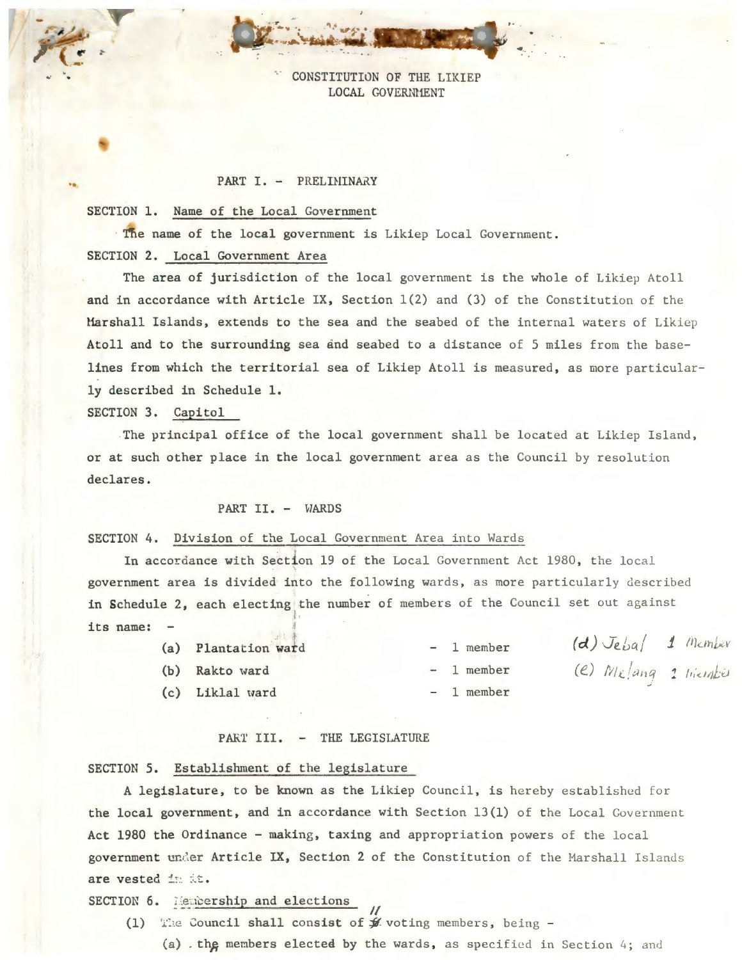CONSTITUTION OF THE LIKIEP LOCAL GOVERNMENT

·-.

... .

#### PART I. - PRELIHINARY

#### SECTION 1. Name of the Local Government

· The name of the local government is Likiep Local Government. SECTION 2. Local Government Area

The area of jurisdiction of the local government is the whole of Likiep Atoll and in accordance with Article IX, Section  $1(2)$  and (3) of the Constitution of the Marshall Islands, extends to the sea and the seabed of the internal waters of Likiep Atoll and to the surrounding sea and seabed to a distance of 5 miles from the baselines from which the territorial sea of Likiep Atoll is measured, as more particularly described in Schedule 1.

## SECTION 3. Capitol

. -

The principal office of the local government shall be located at Likiep Island, or at such other place in the local government area as the Council by resolution declares.

## PART II. - WARDS

#### SECTION 4. Division of the Local Government Area into Wards

In accordance with Section 19 of the Local Government Act 1980, the local government area is divided into the following wards, as more particularly described in Schedule 2, each electing the number of members of the Council set out against its name:

| (a) Plantation ward |  | $-1$ member | $(d)$ Jebal 1 Member  |  |
|---------------------|--|-------------|-----------------------|--|
| (b) Rakto ward      |  | $-1$ member | (e) Melang 1 Hierabis |  |
| (c) Liklal ward     |  | $-1$ member |                       |  |

#### PART III. - THE LEGISLATURE

#### SECTION 5. Establishment of the legislature

A legislature, to be known as the Likiep Council, is hereby established for the local government, and in accordance with Section  $13(1)$  of the Local Government Act 1980 the Ordinance - making, taxing and appropriation powers of the local government under Article IX, Section 2 of the Constitution of the Marshall Islands are vested in it.

SECTION 6. Membership and elections

 $\overline{u}$ (1) The Council shall consist of  $f$  voting members, being -

(a) . the members elected by the wards, as specified in Section 4; and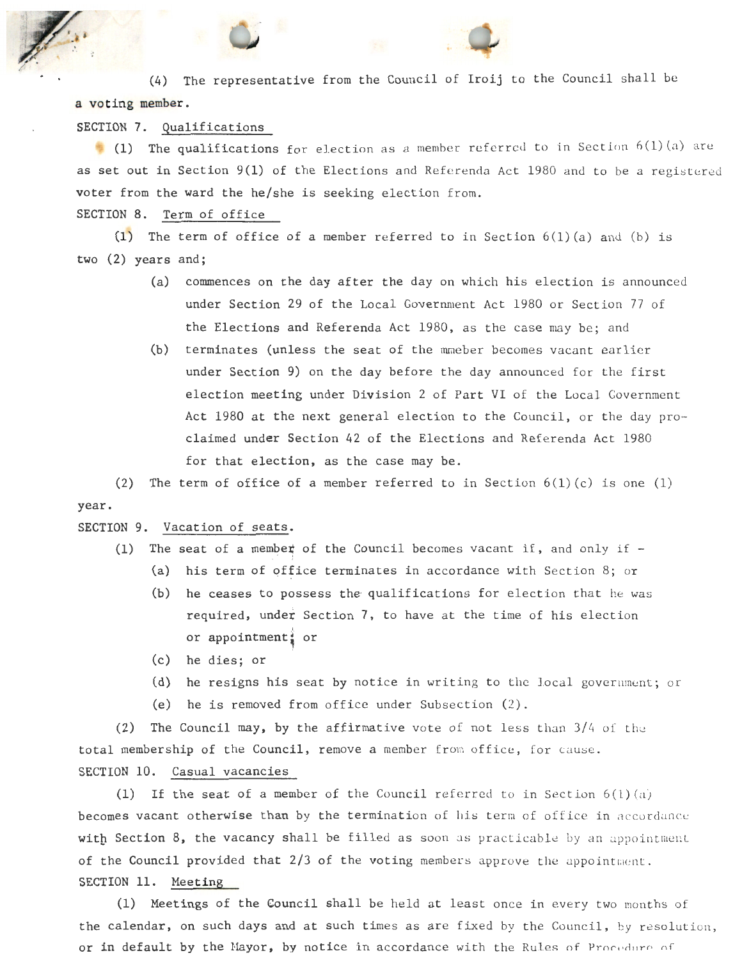(4) The representative from the Council of Iroij to the Council shall be a voting member.

SECTION 7. Qualifications

(1) The qualifications for election as a member referred to in Section  $6(1)(a)$  are as set out in Section  $9(1)$  of the Elections and Referenda Act 1980 and to be a registered voter from the ward the he/she is seeking election from.

SECTION 8. Term of office

(1) The term of office of a member referred to in Section  $6(1)(a)$  and (b) is two (2) years and;

- (a) commences on the day after the day on which his election is announced under Section 29 of the Local Government Act 1980 or Section 77 of the Elections and Referenda Act 1980, as the case may be; and
- (b) terminates (unless the seat of the mmeber becomes vacant earlier under Section 9) on the day before the day announced for the first election meeting under Division 2 of Part VI of the Local Government Act 1980 at the next general election to the Council, or the day proclaimed under Section 42 of the Elections and Referenda Act 1980 for that election, as the case may be .

year. (2) The term of office of a member referred to in Section  $6(1)(c)$  is one (1)

# SECTION 9. Vacation of seats.

- (1) The seat of a member of the Council becomes vacant if, and only if -(a) his term of office terminates in accordance with Section 8; or
	- (b) he ceases to possess the qualifications for election that he was required, under Section 7, to have at the time of his election or appointment  $\frac{1}{2}$  or
	- (c) he dies; or
	- (d) he resigns his seat by notice in writing to the local government; or
	- (e) he is removed from office under Subsection  $(2)$ .

(2) The Council may, by the affirmative vote of not less than  $3/4$  of the total membership of the Council, remove a member from office, for cause. SECTION 10. Casual vacancies

(1) If the seat of a member of the Council referred to in Section  $6(1)(a)$ becomes vacant otherwise than by the termination of his term of office in accordance with Section  $8$ , the vacancy shall be filled as soon as practicable by an appointment of the Council provided that  $2/3$  of the voting members approve the appointment. SECTION 11. Meeting

(1) Meetings of the Council shall be held at least once in every two months of the calendar, on such days and at such times as are fixed by the Council, by resolution, or in default by the Mayor, by notice in accordance with the Rules of Procedure of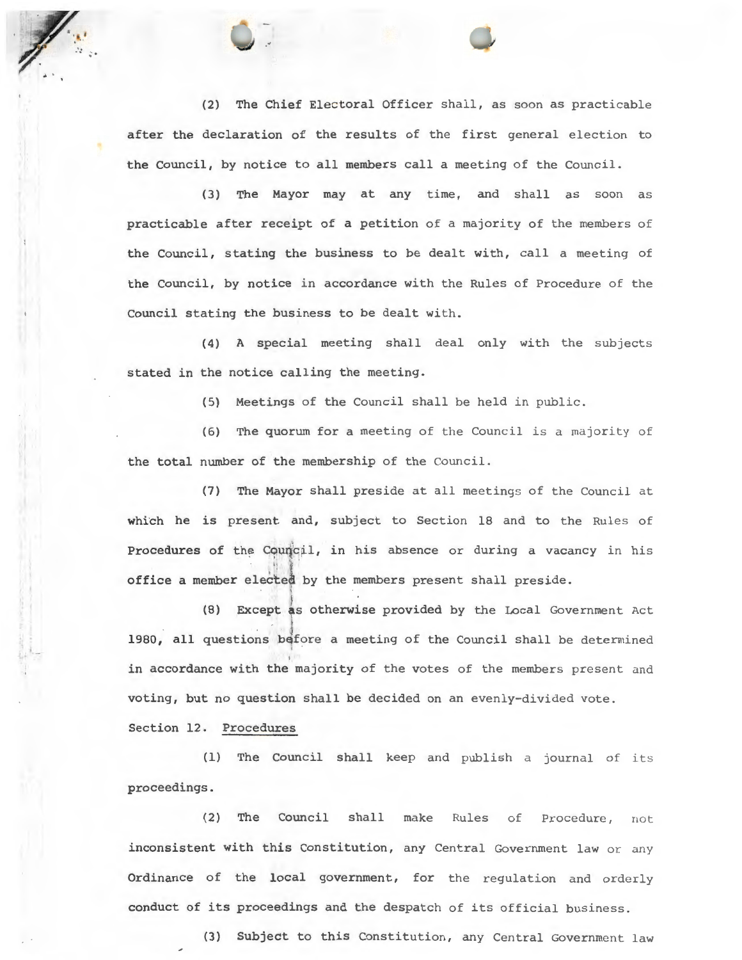(2) The Chief Electoral Officer shall, as soon as practicable after the declaration of the results of the first general election to the Council, by notice to all members call a meeting of the Council.

.•

(3) The Mayor may at any time, and shall as soon as practicable after receipt of a petition of a majority of the members of the Council, stating the business to be dealt with, call a meeting of the Council, by notice in accordance with the Rules of Procedure of the Council stating the business to be dealt with.

(4) A special meeting shall deal only with the subjects stated in the notice calling the meeting.

(5) Meetings of the Council shall be held in public.

(6) The quorum for a meeting of the Council is a majority of the total number of the membership of the Council .

 $(7)$  The Mayor shall preside at all meetings of the Council at which he is present and, subject to Section 18 and to the Rules of Procedures of the Council, in his absence or during a vacancy in his office a member elected by the members present shall preside.

(8) Except as otherwise provided by the Local Government Act 1980, all questions before a meeting of the Council shall be determined in accordance with the majority of the votes of the members present and voting, but no question shall be decided on an evenly-divided vote.

Section 12. Procedures

(1) The Council shall keep and publish a journal of its proceedings .

(2) The Council shall make Rules of Procedure, not inconsistent with this Constitution, any Central Government law or any Ordinance of the local government, for the regulation and orderly conduct of its proceedings and the despatch of its official business.

(3) Subject to this Constitution, any Central Government law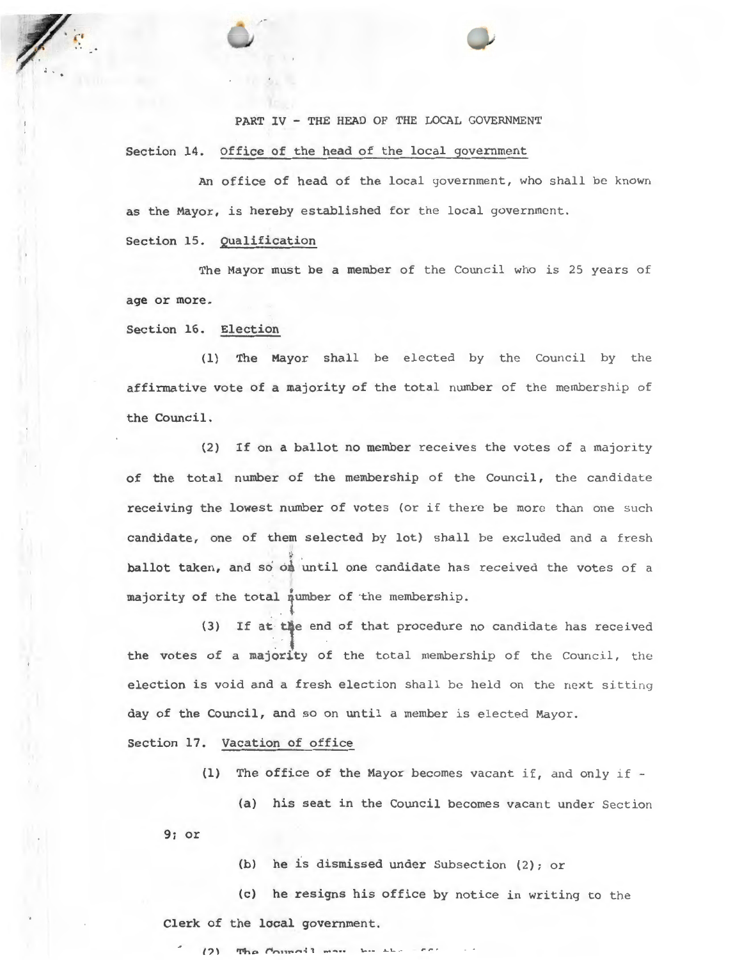PART IV - THE HEAD OF THE LOCAL GOVERNMENT

Section 14. Office of the head of the local government

An office of head of the local government, who shall be known as the Mayor, is hereby established for the local government.

Section 15. Qualification

The Mayor must be a member of the Council who is 25 years of age or more.

Section 16. Election

(1) The Mayor shall be elected by the Council by the affirmative vote of a majority of the total number of the membership of the Council.

(2) If on a ballot no member receives the votes of a majority of the total number of the membership of the Council, the candidate receiving the lowest number of votes (or if there be more than one such candidate, one of them selected by lot) shall be excluded and a fresh ballot taken, and so on until one candidate has received the votes of a majority of the total number of the membership.

(3) If at the end of that procedure no candidate has received the votes of a majority of the total membership of the Council, the election is void and a fresh election shall be held on the next sitting day of the Council, and so on until a member is elected Mayor.

Section 17. Vacation of office

(1) The office of the Mayor becomes vacant if, and only if  $-$ 

(a) his seat in the Council becomes vacant under Section

9; or

(b) he is dismissed under Subsection (2); or

(c) he resigns his office by notice in writing to the Clerk of the local government.

 $(2)$  The Council mass has  $H$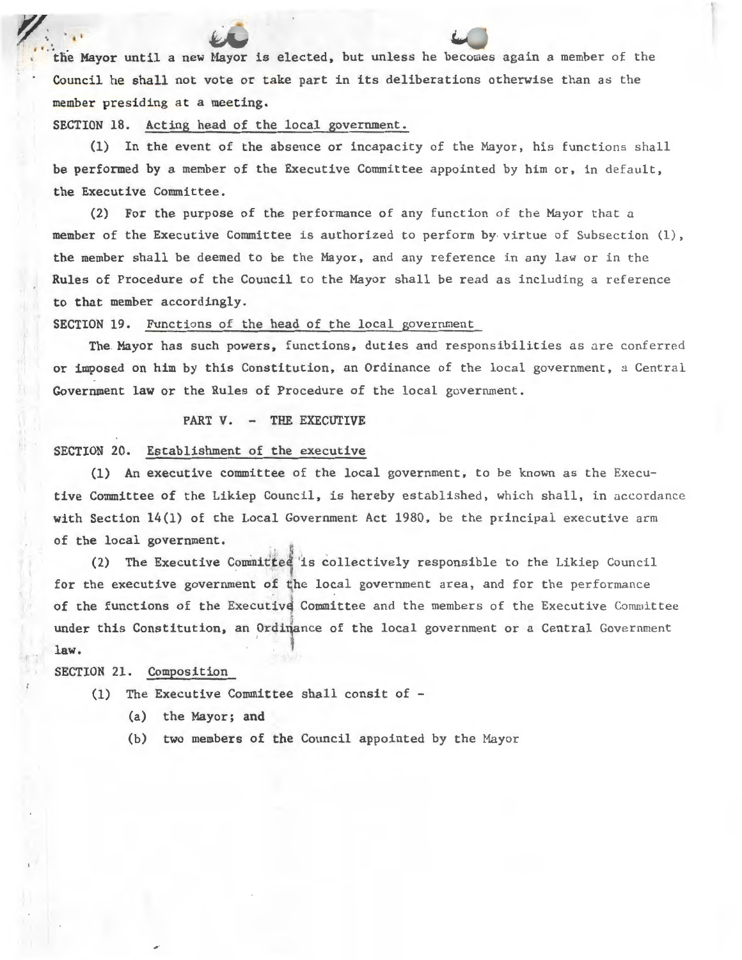the Mayor until a new Mayor is elected, but unless he becomes again a member of the Council he shall not vote or take part in its deliberations otherwise than as the member presiding at a meeting.

SECTION 18. Acting head of the local government.

~:. ' ,1

(1) In the event of the absence or incapacity of the Mayor, his functions shall be performed by a member of the Executive Committee appointed by him or, in default, the Executive Committee.

(2) For the purpose of the performance of any function of the Mayor that a member of the Executive Committee is authorized to perform by virtue of Subsection (1), the member shall be deemed to be the Mayor, and any reference in any law or in the Rules of Procedure of the Council to the Mayor shall be read as including a reference to that member accordingly.

SECTION 19. Functions of the head of the local government

The Mayor has such powers, functions, duties and responsibilities as are conferred or imposed on him by this Constitution, an Ordinance of the local government, a Central Government law or the Rules of Procedure of the local goverrunent.

## PART V. - THE EXECUTIVE

#### SECTION 20. Establishment of the executive

(1) An executive committee of the local government, to be known as the Executive Committee of the Likiep Council, is hereby established, which shall, in accordance with Section  $14(1)$  of the Local Government Act 1980, be the principal executive arm of the local government.

(2) The Executive Committed is collectively responsible to the Likiep Council for the executive government of the local government area, and for the performance of the functions of the Executive Committee and the members of the Executive Committee under this Constitution, an Ordinance of the local government or a Central Government law.

SECTION 21. Composition

- (1) The Executive Committee shall consit of
	- (a) the Mayor; and
	- (b) two members of the Council appointed by the Mayor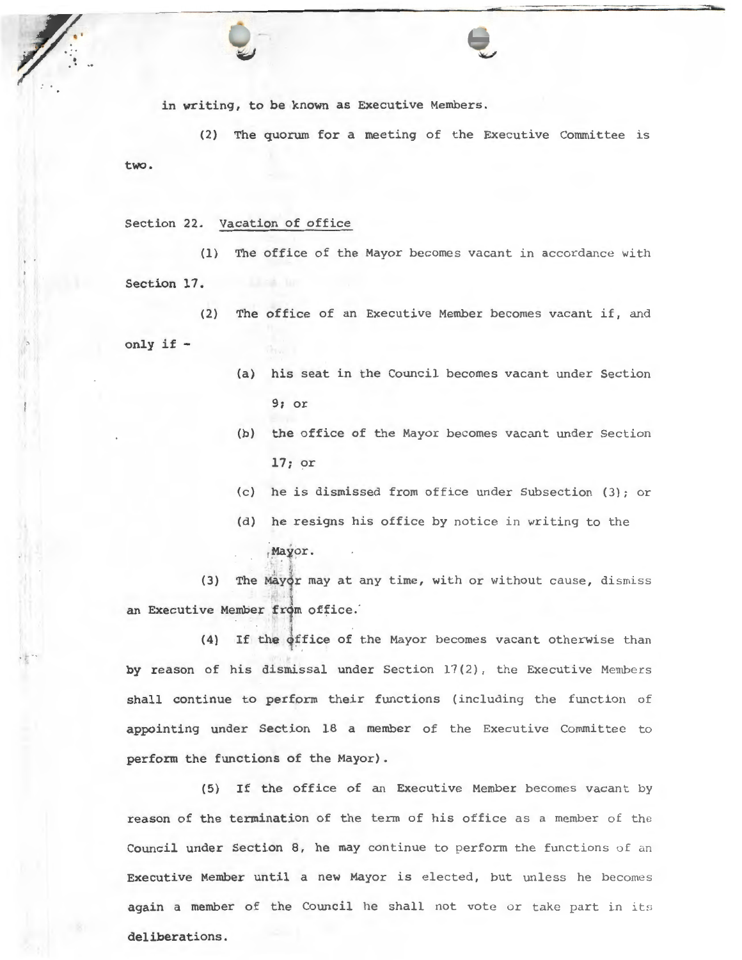in writing, to be known as Executive Members.

(2) The quorum for a meeting of the Executive Committee is two.

## Section 22. Vacation of office

 $\frac{1}{2}$ 

*'7.* ~ .

·!"'

(1) The office of the Mayor becomes vacant in accordance with Section 17.

(2) The office of an Executive Member becomes vacant if, and only if -

- (a) his seat in the Council becomes vacant under Section 9; or
- (b) the office of the Mayor becomes vacant under Section 17; or
- (c) he is dismissed from office under Subsection (3); or
- (d) he resigns his office by notice in writing to the
	- Mayor.

(3) The Mayor may at any time, with or without cause, dismiss an Executive Member from office.

(4) If the office of the Mayor becomes vacant otherwise than 't by reason of his dismissal under Section  $17(2)$ , the Executive Members shall continue to perform their functions (including the function of appointing under Section 18 a member of the Executive Committee to perform the functions of the Mayor) .

(5) If the office of an Executive Member becomes vacant by reason of the termination of the term of his office as a member of the Council under Section 8, he may continue to perform the functions of an Executive Member until a new Mayor is elected, but unless he becomes again a member of the Council he shall not vote or take part in its deliberations.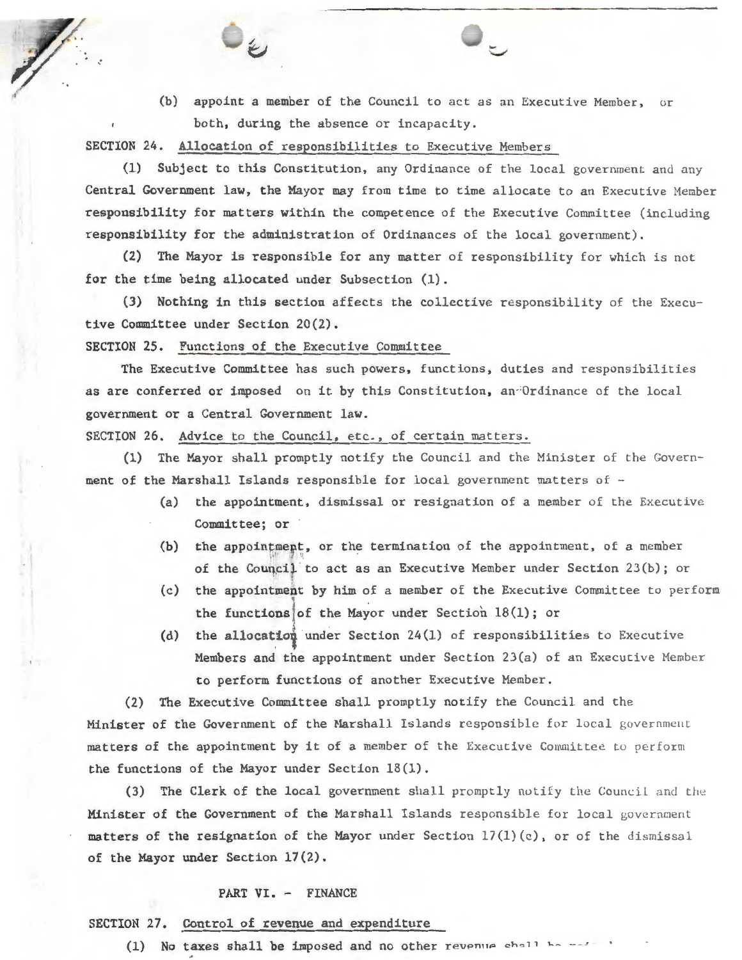(b) appoint a member of the Council to act as an Executive Member, or both, during the absence or incapacity .

SECTION 24. Allocation of responsibilities to Executive Members

(1) Subject to this Constitution, any Ordinance of the local government and any Central Government law, the Mayor may from time to time allocate to an Executive Member responsibility for matters within the competence of the Executive Committee (including responsibility for the administration of Ordinances of the local government).

(2) The Mayor is responsible for any matter of responsibility for which is not for the time being allocated under Subsection (1).

(3) Nothing in this section affects the collective responsibility of the Executive Committee under Section 20(2).

SECTION 25. Functions of the Executive Committee

The Executive Committee has such powers, functions, duties and responsibilities as are conferred or imposed on it by this Constitution, an<sup>-1</sup>Ordinance of the local government or a Central Government law.

SECTION 26. Advice to the Council, etc., of certain matters.

(1) The Mayor shall promptly notify the Council and the Minister of the Government of the Marshall Islands responsible for local government matters of  $-$ 

- (a) the appointment, dismissal or resignation of a member of the Executive Committee; or
- (b) the appointment, or the termination of the appointment, of a member of the Council to act as an Executive Member under Section 23(b); or
- (c) the appointment by him of a member of the Executive Committee to perform I . the functions of the Mayor under Section  $18(1)$ ; or
- (d) the allocation under Section 24(1) of responsibilities to Executive Members and the appointment under Section 23(a) of an Executive Member to perform functions of another Executive Member.

(2) The Executive Committee shall promptly notify the Council and the Minister of the Government of the Marshall Islands responsible for local government matters of the appointment by it of a member of the Executive Committee to perform the functions of the Mayor under Section  $18(1)$ .

(3) The Clerk of the local government shall promptly notify the Council and the Minister of the Government of the Marshall Islands responsible for local government matters of the resignation of the Mayor under Section  $17(1)(c)$ , or of the dismissal of the Mayor under Section 17(2).

#### PART VI. - FINANCE

# SECTION 27. Control of revenue and expenditure

' .

(1) No taxes shall be imposed and no other revenue shall be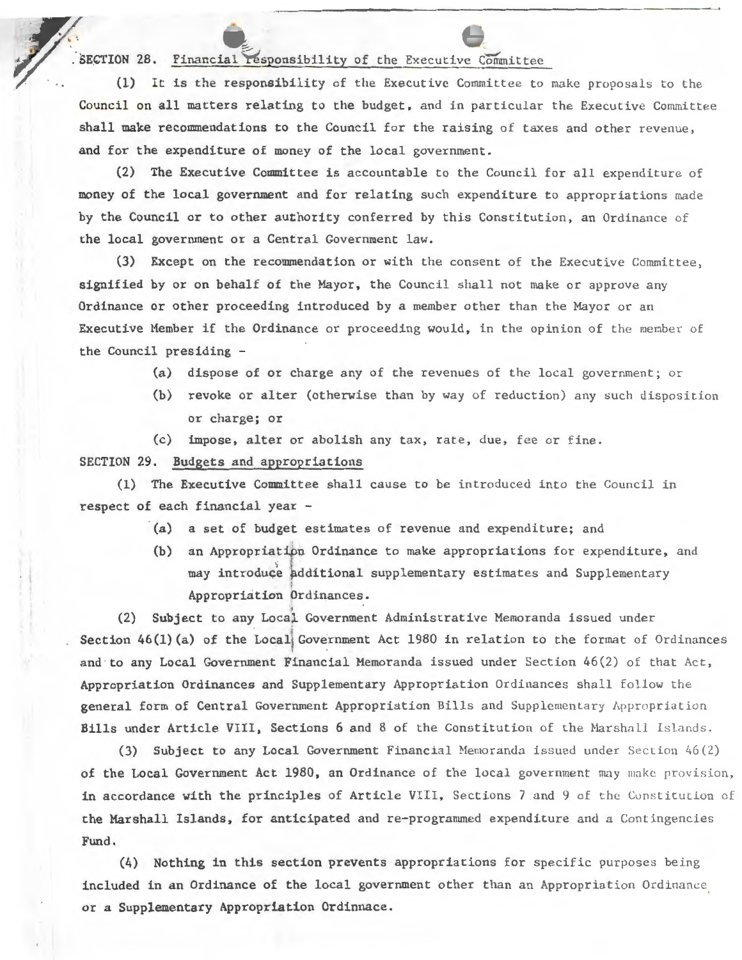# SECTION 28. Financial responsibility of the Executive Committee (1) It is the responsibility of the Executive Committee to

 $(1)$  It is the responsibility of the Executive Committee to make proposals to the Council on all matters relating to the budget, and in particular the Executive Committee shall make recommendations to the Council for the raising of taxes and other revenue, and for the expenditure of money of the local government.

~ ~

(2) The Executive Committee is accountable to the Council for all expenditure of money of the local government and for relating such expenditure to appropriations made by the Council or to other authority conferred by this Constitution, an Ordinance of the local government or a Central Government law.

(3) Except on the recommendation or with the consent of the Executive Committee, signified by or on behalf of the Mayor, the Council shall not make or approve any Ordinance or other proceeding introduced by a member other than the Mayor or an Executive Member if the Ordinance or proceeding would, in the opinion of the member of the Council presiding -

- (a) dispose of or charge any of the revenues of the local government; or
- (b) revoke or alter (otherwise than by way of reduction) any such disposition or charge; or
- (c) impose, alter or abolish any tax, rate, due, fee or fine.

SECTION 29. Budgets and appropriations

(1) The Executive Committee shall cause to be introduced into the Council in respect of each financial year -

- (a) a set of budget estimates of revenue and expenditure; and
- (b) an Appropriatipn Ordinance to make appropriations for expenditure, and may introduce additional supplementary estimates and Supplementary Appropriation brdinances.

(2) Subject to any Local Government Administrative Memoranda issued under Section  $46(1)(a)$  of the Local Government Act 1980 in relation to the format of Ordinances and to any Local Government Financial Memoranda issued under Section  $46(2)$  of that Act, Appropriation Ordinances and Supplementary Appropriation Ordinances shall follow the general form of Central Government Appropriation Bills and Supplementary Appropriation Bills under Article VIII, Sections 6 and 8 of the Constitution of the Marshall Islands.

(3) Subject to any Local Government Financial Memoranda issued under Section  $46(2)$ of the Local Government Act 1980, an Ordinance of the local government may make provision, in accordance with the principles of Article VIII, Sections 7 and 9 of the Constitution of the Marshall Islands, for anticipated and re-programmed expenditure and a Contingencies Fund.

(4) Nothing in this section prevents appropriations for specific purposes being included in an Ordinance of the local government other than an Appropriation Ordinance or a Supplementary Appropriation Ordinnace.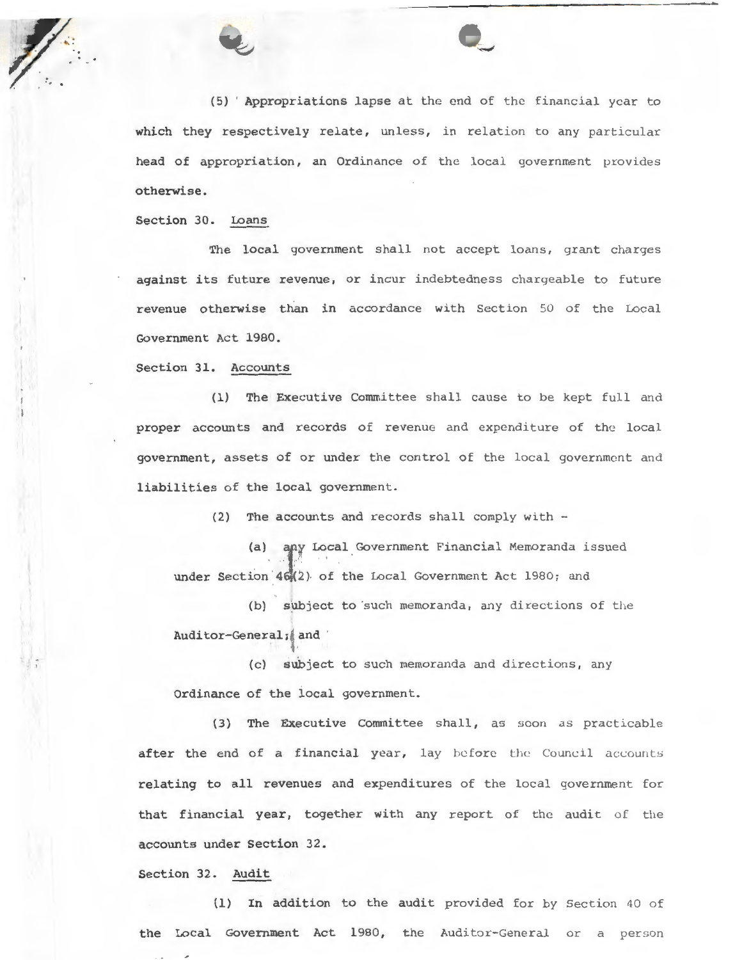(5) 'Appropriations lapse at the end of the financial year to which they respectively relate, unless, in relation to any particular head of appropriation, an Ordinance of the local government provides otherwise.

Section 30. Loans

The local government shall not accept loans, grant charges against its future revenue, or incur indebtedness chargeable to future revenue otherwise than in accordance with Section 50 of the Local Government Act 1980.

Section 31. Accounts

(1) The Executive Committee shall cause to be kept full and proper accounts and records of revenue and expenditure of the local government, assets of or under the control of the local government and liabilities of the local government.

(2) The accounts and records shall comply with -

(a) any Local Government Financial Memoranda issued under Section 46 (2) of the Local Government Act 1980; and

(b) subject to such memoranda, any directions of the Auditor-General; and

(c) subject to such memoranda and directions, any Ordinance of the local government.

(3) The Executive Committee shall, as soon as practicable after the end of a financial year, lay before the Council accounts relating to all revenues and expenditures of the local government for that financial year, together with any report of the audit of the accounts under Section 32.

Section 32. Audit

(1) In addition to the audit provided for by Section 40 of the Local Government Act 1980, the Auditor-General or a person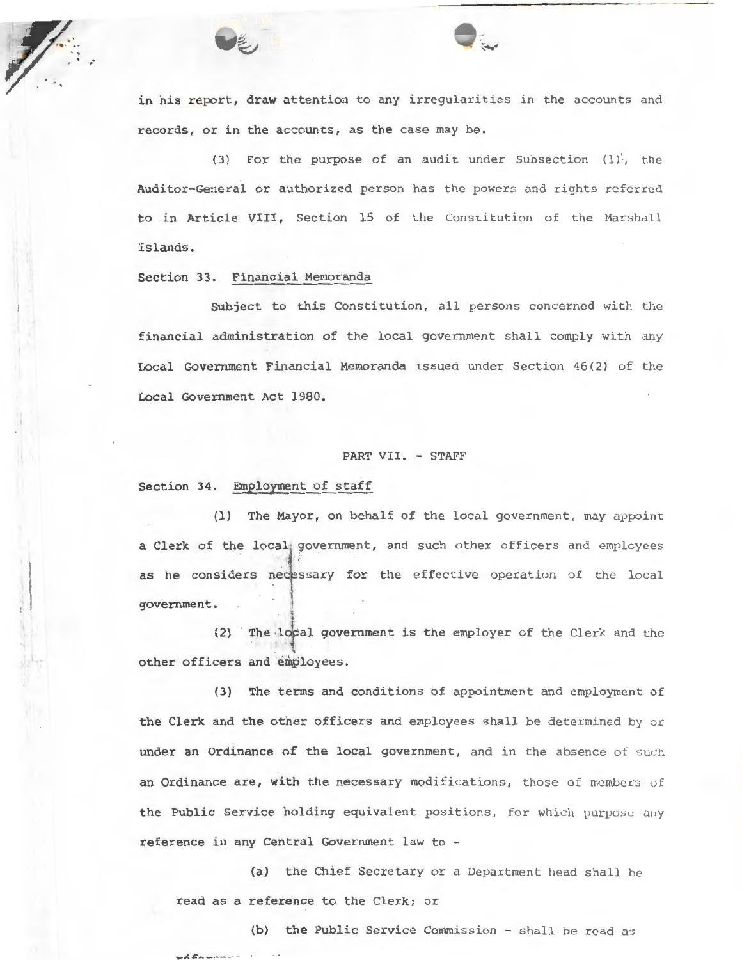



in his report, draw attention to any irregularities in the accounts and records, or in the accounts, as the case may be.

(3) For the purpose of an audit under Subsection  $(1)$ , the Auditor-General or authorized person has the powers and rights referred to in Article VIII, Section 15 of the Constitution of the Marshall Islands.

## Section 33. Financial Memoranda

Subject to this Constitution, all persons concerned with the financial administration of the local government shall comply with any Local Government Financial Memoranda issued under Section 46(2) of the Local Government Act 1980.

#### PART VII. - STAFF

## Section 34. Employment of staff

(1) The Mayor, on behalf of the local government, may appoint a Clerk of the local government, and such other officers and employees as he considers necessary for the effective operation of the local . \ government.

(2) The local government is the employer of the Clerk and the other officers and employees.

(3) The terms and conditions of appointment and employment of the Clerk and the other officers and employees shall be determined by or under an Ordinance of the local government, and in the absence of such an Ordinance are, with the necessary modifications, those of members of the Public Service holding equivalent positions, for which purpose any reference in any Central Government law to -

(a) the Chief Secretary or a Department head shall be read as a reference to the Clerk; or

(b) the Public Service Commission - shall be read as r6fnunu-